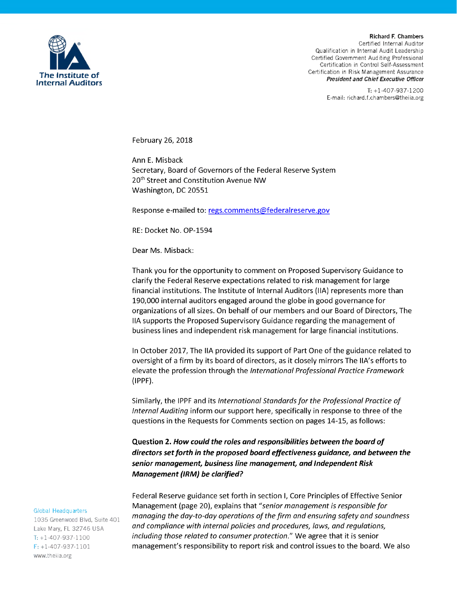

*Richard F. Chamb rs C rtifi d Int rnal Auditor Qualification in Int rnal Audit L ad rship C rtifi d Gov rnm nt Auditing Prof ssional C rtification in Control S lf-Ass ssm nt Certification* in Risk Management Assurance *Presiden and Chief Execu ive Officer*

> *T: +1-407-937-1200 E-mail: richard.f.chambers@theiia.org*

*February 26, 2018*

*Ann E. Misback Secretary, Board of Governors of the Federal Reserve System 20th Street and Constitution Avenue NW Washington, DC 20551*

*Response e-mailed to: regs.comments@federalreserve.gov*

*RE: Docket No. OP-1594*

*Dear Ms. Misback:*

*Thank you for the opportunity to comment on Proposed Supervisory Guidance to clarify the Federal Reserve expectations related to risk management for large financial institutions. The Institute of Internal Auditors (IIA) represents more than 190,000 internal auditors engaged around the globe in good governance for organizations of all sizes. On behalf of our members and our Board of Directors, The IIA supports the Proposed Supervisory Guidance regarding the management of business lines and independent risk management for large financial institutions.*

*In October 2017, The IIA provided its support of Part One of the guidance related to oversight of a firm by its board of directors, as it closely mirrors The IIA's efforts to elevate the profession through the Internati nal Pr fessi nal Practice Framew rk (IPPF).*

*Similarly, the IPPF and its Internati nal Standardsf r the Pr fessi nal Practice f Internal Auditing inform our support here, specifically in response to three of the questions in the Requests for Comments section on pages 14-15, as follows:*

**Question 2. How could the roles and responsibilities between the board of**  *irectors setforth in the propose boar effectiveness gui ance, an between the senior management, business line management, an In epen ent Risk Management (IRM) be clarified?* 

*Federal Reserve guidance set forth in section I, Core Principles of Effective Senior Management* (page 20), explains that "senior management is responsible for *managing* the day-to-day operations of the firm and ensuring safety and soundness *and c mpliance with internal p licies and pr cedures, laws, and regulati ns, including those related to consumer protection."* We agree that it is senior *management's responsibility to report risk and control issues to the board. We also*

## *Global* **Headquarters**

1035 Greenwood Blvd, Suite 401 *Lak Mary, FL 32746 USA T: +1-407-937-1100 F: +1-407-937-1101* www.theiia.org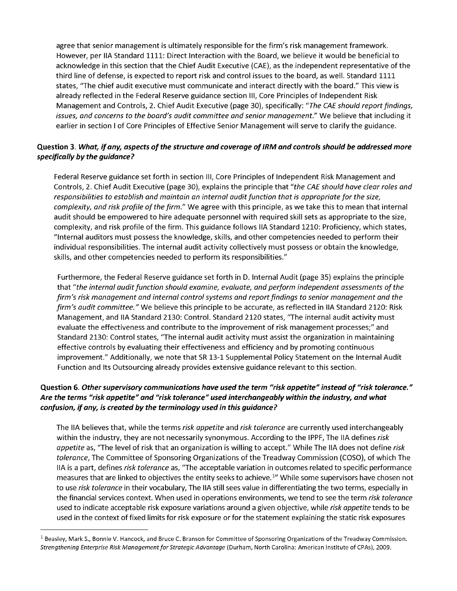*agree that senior management is ultimately responsible for the firm's risk management framework. However, per IIA Standard 1111: Direct Interaction with the Board, we believe it would be beneficial to acknowledge in this section that the Chief Audit Executive (CAE), as the independent representative of the* third line of defense, is expected to report risk and control issues to the board, as well. Standard 1111 *states, "The chief audit executive must communicate and interact directly with the board." This view is already reflected in the Federal Reserve guidance section III, Core Principles of Independent Risk Management and Controls, 2. Chief Audit Executive (page 30), specifically: "The CAE sh uld rep rtfindings, issues, and concerns to the board's audit committee and senior management." We believe that including it* earlier in section I of Core Principles of Effective Senior Management will serve to clarify the guidance.

## *Question 3. What, if any, aspects of the structure and coverage of IRM and controls should be addressed more specifically by the gui ance?*

*Federal Reserve guidance set forth in section III, Core Principles of Independent Risk Management and* Controls, 2. Chief Audit Executive (page 30), explains the principle that "the CAE should have clear roles and *resp nsibilities t establish and maintain an internal auditfuncti n that is appr priate f r the size,* complexity, and risk profile of the firm." We agree with this principle, as we take this to mean that internal *audit should be empowered to hire adequate personnel with required skill sets as appropriate to the size, complexity, and risk profile of the firm. This guidance follows IIA Standard 1210: Proficiency, which states, "Internal auditors must possess the knowledge, skills, and other competencies needed to perform their individual responsibilities. The internal audit activity collectively must possess or obtain the knowledge, skills, and other competencies needed to perform its responsibilities."*

*Furthermore, the Federal Reserve guidance set forth in D. Internal Audit (page 35) explains the principle that "the internal audit function should examine, evaluate, and perform independent assessments of the firm's risk management and internal c ntr lsystems and rep rtfindings t seni r management and the* firm's audit committee." We believe this principle to be accurate, as reflected in IIA Standard 2120: Risk *Management, and IIA Standard 2130: Control. Standard 2120 states, "The internal audit activity must evaluate the effectiveness and contribute to the improvement of risk management processes;" and Standard 2130: Control states, "The internal audit activity must assist the organization in maintaining effective controls by evaluating their effectiveness and efficiency and by promoting continuous improvement." Additionally, we note that SR 13-1 Supplemental Policy Statement on the Internal Audit Function and Its Outsourcing already provides extensive guidance relevant to this section.*

## *Questio 6. Othersupervisory communications have use the term "risk appetite" instea of "risk tolerance. " Are the terms "risk appetite" an "risk tolerance" use interchangeably within the in ustry, an what confusion, ifany, is create by the terminology use in this gui ance?*

*The IIA believes that, while the terms risk appetite and risk t lerance are currently used interchangeably within the industry, they are not necessarily synonymous. According to the IPPF, The IIA defines risk* appetite as, "The level of risk that an organization is willing to accept." While The IIA does not define risk *t lerance, The Committee of Sponsoring Organizations of the Treadway Commission (COSO), of which The* IIA is a part, defines risk tolerance as, "The acceptable variation in outcomes related to specific performance measures that are linked to objectives the entity seeks to achieve.<sup>1</sup>" While some supervisors have chosen not to use risk tolerance in their vocabulary, The IIA still sees value in differentiating the two terms, especially in the financial services context. When used in operations environments, we tend to see the term risk tolerance used to indicate acceptable risk exposure variations around a given objective, while risk appetite tends to be used in the context of fixed limits for risk exposure or for the statement explaining the static risk exposures

<sup>&</sup>lt;sup>1</sup> Beasley, Mark S., Bonnie V. Hancock, and Bruce C. Branson for Committee of Sponsoring Organizations of the Treadway Commission. *Strengthening Enterprise Risk Managementf r Strategic Advantage (Durham, North Carolina: American Institute of CPAs), 2009.*